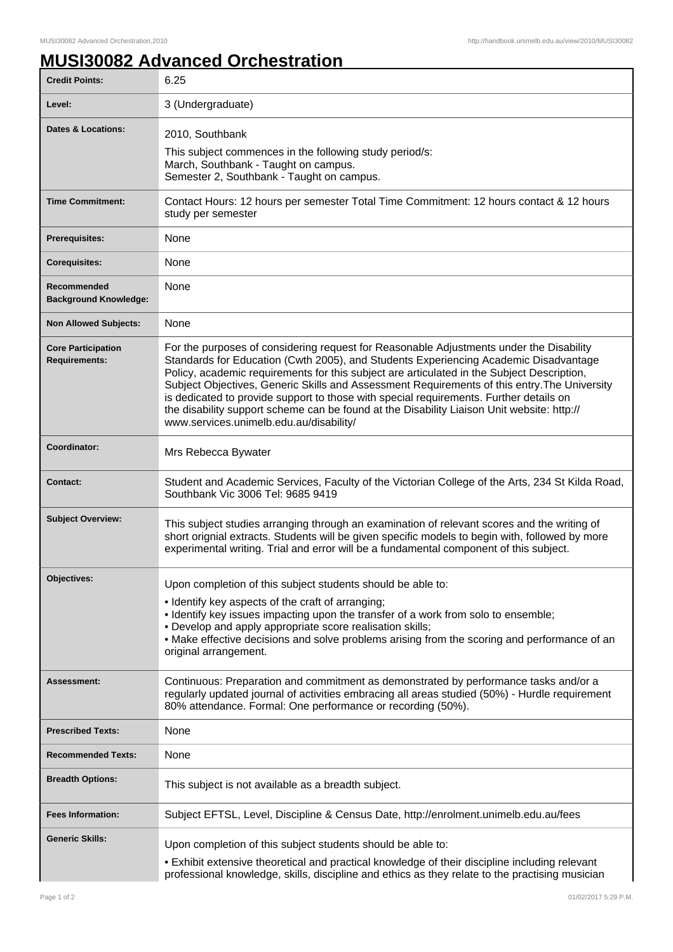## **MUSI30082 Advanced Orchestration**

| <b>Credit Points:</b>                             | 6.25                                                                                                                                                                                                                                                                                                                                                                                                                                                                                                                                                                                                             |
|---------------------------------------------------|------------------------------------------------------------------------------------------------------------------------------------------------------------------------------------------------------------------------------------------------------------------------------------------------------------------------------------------------------------------------------------------------------------------------------------------------------------------------------------------------------------------------------------------------------------------------------------------------------------------|
| Level:                                            | 3 (Undergraduate)                                                                                                                                                                                                                                                                                                                                                                                                                                                                                                                                                                                                |
| <b>Dates &amp; Locations:</b>                     | 2010, Southbank<br>This subject commences in the following study period/s:<br>March, Southbank - Taught on campus.<br>Semester 2, Southbank - Taught on campus.                                                                                                                                                                                                                                                                                                                                                                                                                                                  |
| <b>Time Commitment:</b>                           | Contact Hours: 12 hours per semester Total Time Commitment: 12 hours contact & 12 hours<br>study per semester                                                                                                                                                                                                                                                                                                                                                                                                                                                                                                    |
| <b>Prerequisites:</b>                             | None                                                                                                                                                                                                                                                                                                                                                                                                                                                                                                                                                                                                             |
| <b>Corequisites:</b>                              | None                                                                                                                                                                                                                                                                                                                                                                                                                                                                                                                                                                                                             |
| Recommended<br><b>Background Knowledge:</b>       | None                                                                                                                                                                                                                                                                                                                                                                                                                                                                                                                                                                                                             |
| <b>Non Allowed Subjects:</b>                      | None                                                                                                                                                                                                                                                                                                                                                                                                                                                                                                                                                                                                             |
| <b>Core Participation</b><br><b>Requirements:</b> | For the purposes of considering request for Reasonable Adjustments under the Disability<br>Standards for Education (Cwth 2005), and Students Experiencing Academic Disadvantage<br>Policy, academic requirements for this subject are articulated in the Subject Description,<br>Subject Objectives, Generic Skills and Assessment Requirements of this entry. The University<br>is dedicated to provide support to those with special requirements. Further details on<br>the disability support scheme can be found at the Disability Liaison Unit website: http://<br>www.services.unimelb.edu.au/disability/ |
| Coordinator:                                      | Mrs Rebecca Bywater                                                                                                                                                                                                                                                                                                                                                                                                                                                                                                                                                                                              |
| <b>Contact:</b>                                   | Student and Academic Services, Faculty of the Victorian College of the Arts, 234 St Kilda Road,<br>Southbank Vic 3006 Tel: 9685 9419                                                                                                                                                                                                                                                                                                                                                                                                                                                                             |
| <b>Subject Overview:</b>                          | This subject studies arranging through an examination of relevant scores and the writing of<br>short orignial extracts. Students will be given specific models to begin with, followed by more<br>experimental writing. Trial and error will be a fundamental component of this subject.                                                                                                                                                                                                                                                                                                                         |
| Objectives:                                       | Upon completion of this subject students should be able to:<br>• Identify key aspects of the craft of arranging;<br>• Identify key issues impacting upon the transfer of a work from solo to ensemble;<br>• Develop and apply appropriate score realisation skills;<br>• Make effective decisions and solve problems arising from the scoring and performance of an<br>original arrangement.                                                                                                                                                                                                                     |
| <b>Assessment:</b>                                | Continuous: Preparation and commitment as demonstrated by performance tasks and/or a<br>regularly updated journal of activities embracing all areas studied (50%) - Hurdle requirement<br>80% attendance. Formal: One performance or recording (50%).                                                                                                                                                                                                                                                                                                                                                            |
| <b>Prescribed Texts:</b>                          | None                                                                                                                                                                                                                                                                                                                                                                                                                                                                                                                                                                                                             |
| <b>Recommended Texts:</b>                         | None                                                                                                                                                                                                                                                                                                                                                                                                                                                                                                                                                                                                             |
| <b>Breadth Options:</b>                           | This subject is not available as a breadth subject.                                                                                                                                                                                                                                                                                                                                                                                                                                                                                                                                                              |
| <b>Fees Information:</b>                          | Subject EFTSL, Level, Discipline & Census Date, http://enrolment.unimelb.edu.au/fees                                                                                                                                                                                                                                                                                                                                                                                                                                                                                                                             |
| <b>Generic Skills:</b>                            | Upon completion of this subject students should be able to:<br>• Exhibit extensive theoretical and practical knowledge of their discipline including relevant<br>professional knowledge, skills, discipline and ethics as they relate to the practising musician                                                                                                                                                                                                                                                                                                                                                 |